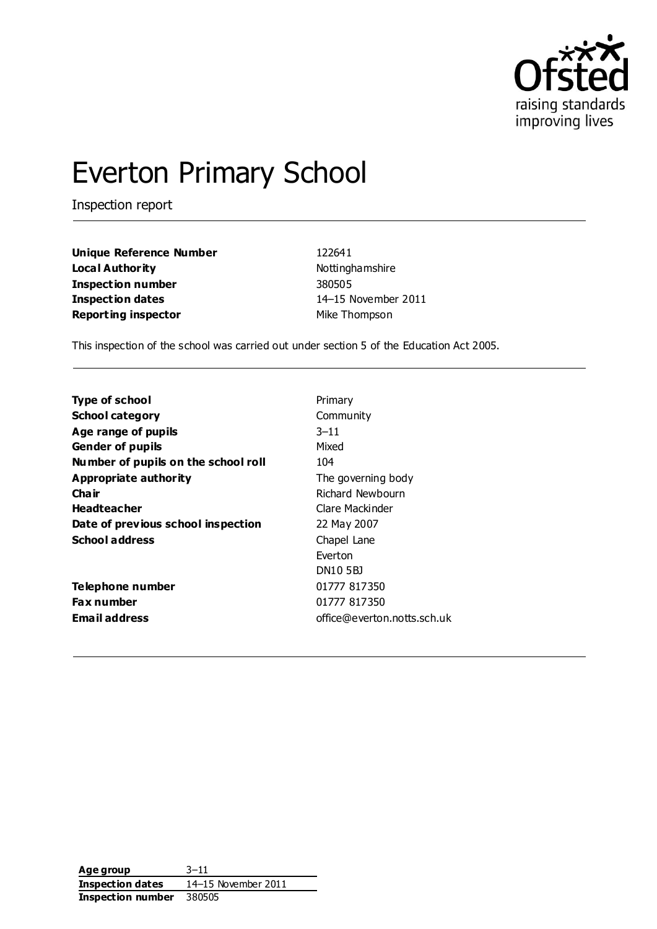

# Everton Primary School

Inspection report

**Unique Reference Number** 122641 **Local Authority Nottinghamshire Inspection number** 380505 **Inspection dates** 14–15 November 2011 **Reporting inspector** Mike Thompson

This inspection of the school was carried out under section 5 of the Education Act 2005.

| <b>Type of school</b>               | Primary                     |
|-------------------------------------|-----------------------------|
| <b>School category</b>              | Community                   |
| Age range of pupils                 | $3 - 11$                    |
| <b>Gender of pupils</b>             | Mixed                       |
| Number of pupils on the school roll | 104                         |
| Appropriate authority               | The governing body          |
| Cha ir                              | Richard Newbourn            |
| <b>Headteacher</b>                  | Clare Mackinder             |
| Date of previous school inspection  | 22 May 2007                 |
| <b>School address</b>               | Chapel Lane                 |
|                                     | Everton                     |
|                                     | <b>DN10 5BJ</b>             |
| Telephone number                    | 01777 817350                |
| <b>Fax number</b>                   | 01777 817350                |
| <b>Email address</b>                | office@everton.notts.sch.uk |

**Age group** 3–11 **Inspection dates** 14–15 November 2011 **Inspection number** 380505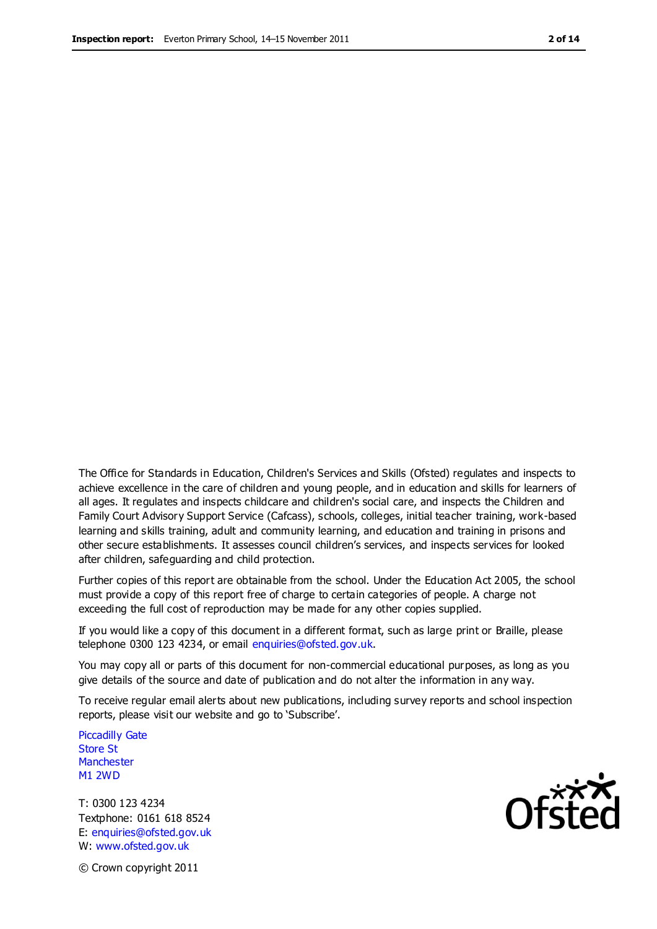The Office for Standards in Education, Children's Services and Skills (Ofsted) regulates and inspects to achieve excellence in the care of children and young people, and in education and skills for learners of all ages. It regulates and inspects childcare and children's social care, and inspects the Children and Family Court Advisory Support Service (Cafcass), schools, colleges, initial teacher training, work-based learning and skills training, adult and community learning, and education and training in prisons and other secure establishments. It assesses council children's services, and inspects services for looked after children, safeguarding and child protection.

Further copies of this report are obtainable from the school. Under the Education Act 2005, the school must provide a copy of this report free of charge to certain categories of people. A charge not exceeding the full cost of reproduction may be made for any other copies supplied.

If you would like a copy of this document in a different format, such as large print or Braille, please telephone 0300 123 4234, or email enquiries@ofsted.gov.uk.

You may copy all or parts of this document for non-commercial educational purposes, as long as you give details of the source and date of publication and do not alter the information in any way.

To receive regular email alerts about new publications, including survey reports and school inspection reports, please visit our website and go to 'Subscribe'.

Piccadilly Gate Store St **Manchester** M1 2WD

T: 0300 123 4234 Textphone: 0161 618 8524 E: enquiries@ofsted.gov.uk W: www.ofsted.gov.uk

© Crown copyright 2011

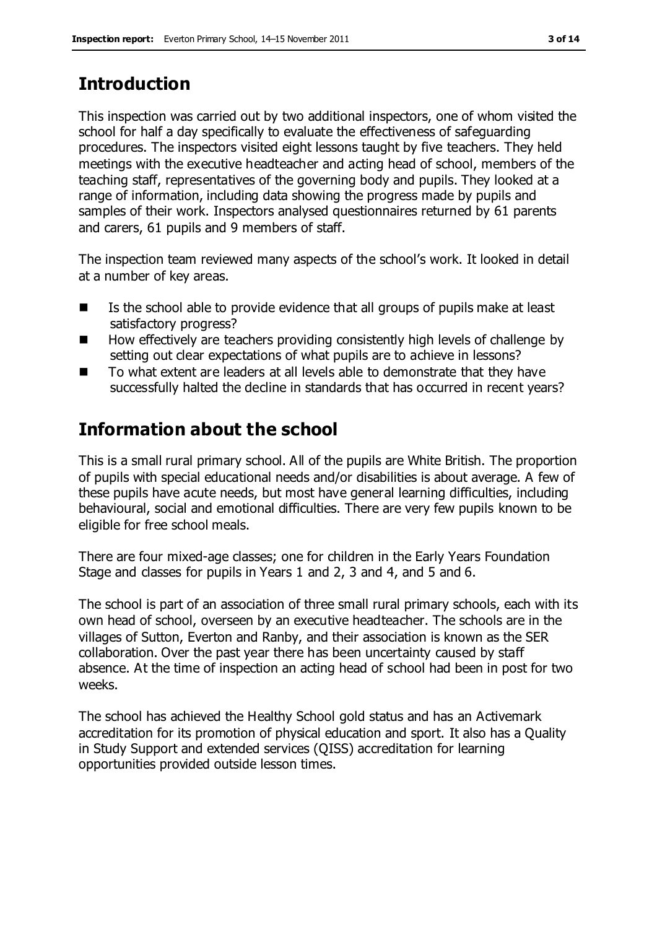## **Introduction**

This inspection was carried out by two additional inspectors, one of whom visited the school for half a day specifically to evaluate the effectiveness of safeguarding procedures. The inspectors visited eight lessons taught by five teachers. They held meetings with the executive headteacher and acting head of school, members of the teaching staff, representatives of the governing body and pupils. They looked at a range of information, including data showing the progress made by pupils and samples of their work. Inspectors analysed questionnaires returned by 61 parents and carers, 61 pupils and 9 members of staff.

The inspection team reviewed many aspects of the school's work. It looked in detail at a number of key areas.

- $\blacksquare$  Is the school able to provide evidence that all groups of pupils make at least satisfactory progress?
- $\blacksquare$  How effectively are teachers providing consistently high levels of challenge by setting out clear expectations of what pupils are to achieve in lessons?
- To what extent are leaders at all levels able to demonstrate that they have successfully halted the decline in standards that has occurred in recent years?

## **Information about the school**

This is a small rural primary school. All of the pupils are White British. The proportion of pupils with special educational needs and/or disabilities is about average. A few of these pupils have acute needs, but most have general learning difficulties, including behavioural, social and emotional difficulties. There are very few pupils known to be eligible for free school meals.

There are four mixed-age classes; one for children in the Early Years Foundation Stage and classes for pupils in Years 1 and 2, 3 and 4, and 5 and 6.

The school is part of an association of three small rural primary schools, each with its own head of school, overseen by an executive headteacher. The schools are in the villages of Sutton, Everton and Ranby, and their association is known as the SER collaboration. Over the past year there has been uncertainty caused by staff absence. At the time of inspection an acting head of school had been in post for two weeks.

The school has achieved the Healthy School gold status and has an Activemark accreditation for its promotion of physical education and sport. It also has a Quality in Study Support and extended services (QISS) accreditation for learning opportunities provided outside lesson times.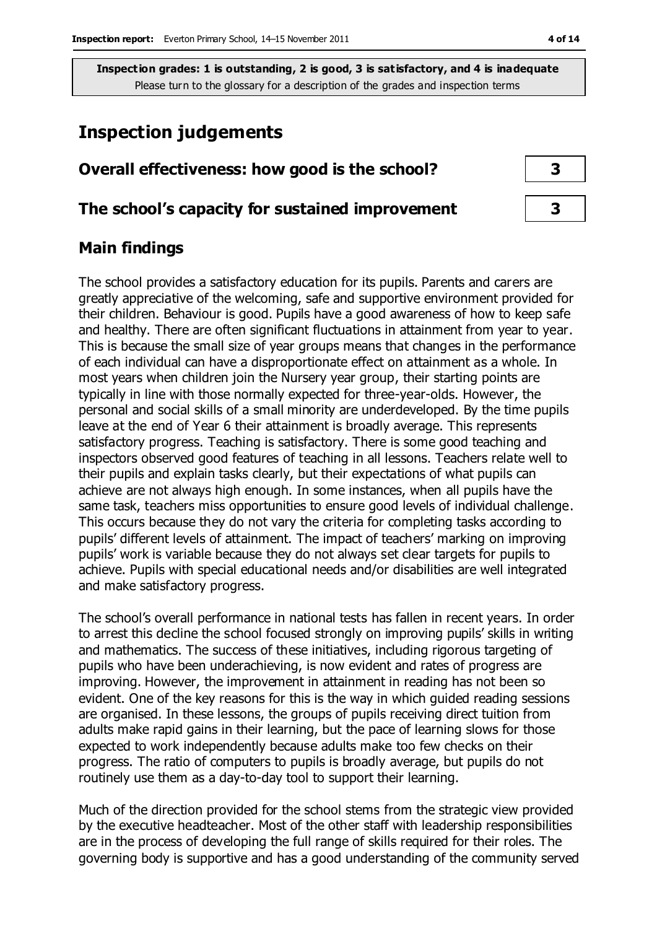## **Inspection judgements**

## **Overall effectiveness: how good is the school? 3**

#### **The school's capacity for sustained improvement 3**

#### **Main findings**

The school provides a satisfactory education for its pupils. Parents and carers are greatly appreciative of the welcoming, safe and supportive environment provided for their children. Behaviour is good. Pupils have a good awareness of how to keep safe and healthy. There are often significant fluctuations in attainment from year to year. This is because the small size of year groups means that changes in the performance of each individual can have a disproportionate effect on attainment as a whole. In most years when children join the Nursery year group, their starting points are typically in line with those normally expected for three-year-olds. However, the personal and social skills of a small minority are underdeveloped. By the time pupils leave at the end of Year 6 their attainment is broadly average. This represents satisfactory progress. Teaching is satisfactory. There is some good teaching and inspectors observed good features of teaching in all lessons. Teachers relate well to their pupils and explain tasks clearly, but their expectations of what pupils can achieve are not always high enough. In some instances, when all pupils have the same task, teachers miss opportunities to ensure good levels of individual challenge. This occurs because they do not vary the criteria for completing tasks according to pupils' different levels of attainment. The impact of teachers' marking on improving pupils' work is variable because they do not always set clear targets for pupils to achieve. Pupils with special educational needs and/or disabilities are well integrated and make satisfactory progress.

The school's overall performance in national tests has fallen in recent years. In order to arrest this decline the school focused strongly on improving pupils' skills in writing and mathematics. The success of these initiatives, including rigorous targeting of pupils who have been underachieving, is now evident and rates of progress are improving. However, the improvement in attainment in reading has not been so evident. One of the key reasons for this is the way in which guided reading sessions are organised. In these lessons, the groups of pupils receiving direct tuition from adults make rapid gains in their learning, but the pace of learning slows for those expected to work independently because adults make too few checks on their progress. The ratio of computers to pupils is broadly average, but pupils do not routinely use them as a day-to-day tool to support their learning.

Much of the direction provided for the school stems from the strategic view provided by the executive headteacher. Most of the other staff with leadership responsibilities are in the process of developing the full range of skills required for their roles. The governing body is supportive and has a good understanding of the community served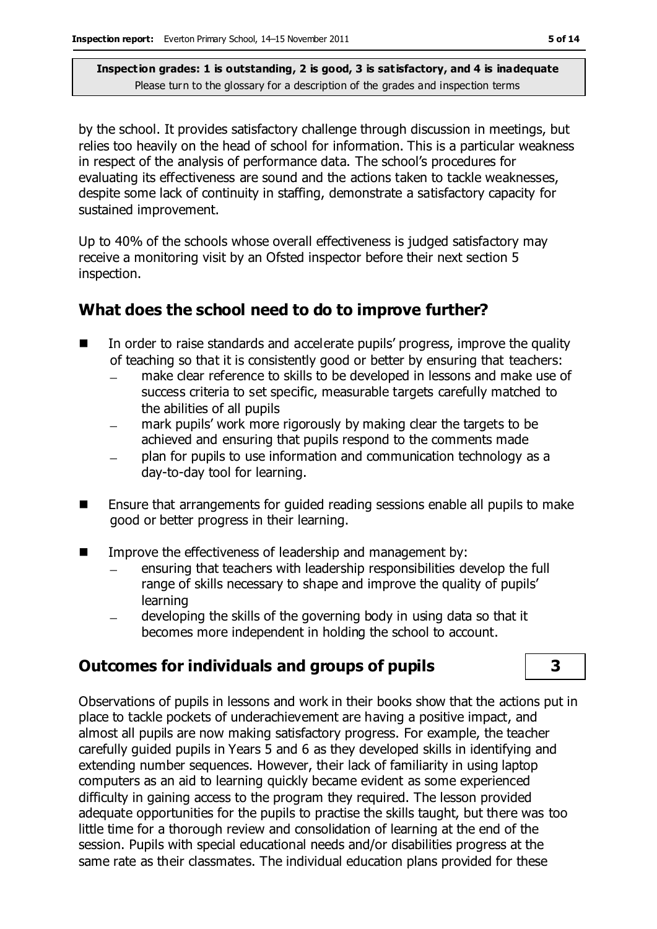by the school. It provides satisfactory challenge through discussion in meetings, but relies too heavily on the head of school for information. This is a particular weakness in respect of the analysis of performance data. The school's procedures for evaluating its effectiveness are sound and the actions taken to tackle weaknesses, despite some lack of continuity in staffing, demonstrate a satisfactory capacity for sustained improvement.

Up to 40% of the schools whose overall effectiveness is judged satisfactory may receive a monitoring visit by an Ofsted inspector before their next section 5 inspection.

## **What does the school need to do to improve further?**

- In order to raise standards and accelerate pupils' progress, improve the quality of teaching so that it is consistently good or better by ensuring that teachers:
	- make clear reference to skills to be developed in lessons and make use of  $\equiv$ success criteria to set specific, measurable targets carefully matched to the abilities of all pupils
	- mark pupils' work more rigorously by making clear the targets to be achieved and ensuring that pupils respond to the comments made
	- plan for pupils to use information and communication technology as a day-to-day tool for learning.
- Ensure that arrangements for guided reading sessions enable all pupils to make good or better progress in their learning.
- **IMPROVE THE EFFECTIVE ASSET SET ASSET IN A THE EXAM** Improve the effectiveness of leadership and management by:
	- ensuring that teachers with leadership responsibilities develop the full range of skills necessary to shape and improve the quality of pupils' learning
	- developing the skills of the governing body in using data so that it becomes more independent in holding the school to account.

## **Outcomes for individuals and groups of pupils 3**

Observations of pupils in lessons and work in their books show that the actions put in place to tackle pockets of underachievement are having a positive impact, and almost all pupils are now making satisfactory progress. For example, the teacher carefully guided pupils in Years 5 and 6 as they developed skills in identifying and extending number sequences. However, their lack of familiarity in using laptop computers as an aid to learning quickly became evident as some experienced difficulty in gaining access to the program they required. The lesson provided adequate opportunities for the pupils to practise the skills taught, but there was too little time for a thorough review and consolidation of learning at the end of the session. Pupils with special educational needs and/or disabilities progress at the same rate as their classmates. The individual education plans provided for these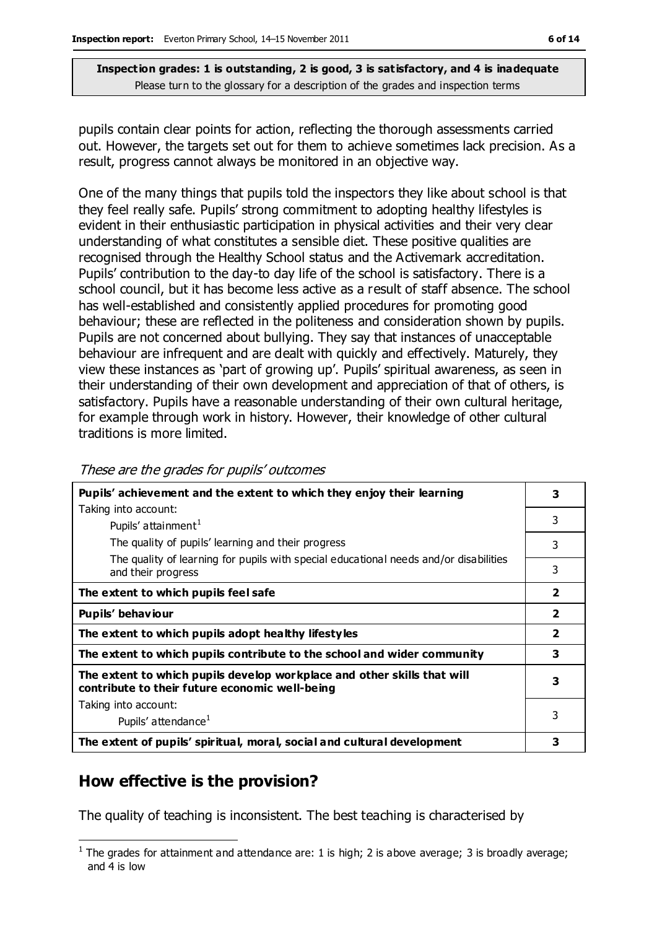pupils contain clear points for action, reflecting the thorough assessments carried out. However, the targets set out for them to achieve sometimes lack precision. As a result, progress cannot always be monitored in an objective way.

One of the many things that pupils told the inspectors they like about school is that they feel really safe. Pupils' strong commitment to adopting healthy lifestyles is evident in their enthusiastic participation in physical activities and their very clear understanding of what constitutes a sensible diet. These positive qualities are recognised through the Healthy School status and the Activemark accreditation. Pupils' contribution to the day-to day life of the school is satisfactory. There is a school council, but it has become less active as a result of staff absence. The school has well-established and consistently applied procedures for promoting good behaviour; these are reflected in the politeness and consideration shown by pupils. Pupils are not concerned about bullying. They say that instances of unacceptable behaviour are infrequent and are dealt with quickly and effectively. Maturely, they view these instances as 'part of growing up'. Pupils' spiritual awareness, as seen in their understanding of their own development and appreciation of that of others, is satisfactory. Pupils have a reasonable understanding of their own cultural heritage, for example through work in history. However, their knowledge of other cultural traditions is more limited.

| Pupils' achievement and the extent to which they enjoy their learning                                                     | 3              |
|---------------------------------------------------------------------------------------------------------------------------|----------------|
| Taking into account:                                                                                                      |                |
| Pupils' attainment <sup>1</sup>                                                                                           | 3              |
| The quality of pupils' learning and their progress                                                                        | 3              |
| The quality of learning for pupils with special educational needs and/or disabilities<br>and their progress               | 3              |
| The extent to which pupils feel safe                                                                                      | $\overline{2}$ |
| Pupils' behaviour                                                                                                         | $\overline{2}$ |
| The extent to which pupils adopt healthy lifestyles                                                                       | $\overline{2}$ |
| The extent to which pupils contribute to the school and wider community                                                   | 3              |
| The extent to which pupils develop workplace and other skills that will<br>contribute to their future economic well-being | 3              |
| Taking into account:                                                                                                      |                |
| Pupils' attendance <sup>1</sup>                                                                                           | 3              |
| The extent of pupils' spiritual, moral, social and cultural development                                                   | 3              |

## **How effective is the provision?**

 $\overline{a}$ 

The quality of teaching is inconsistent. The best teaching is characterised by

<sup>&</sup>lt;sup>1</sup> The grades for attainment and attendance are: 1 is high; 2 is above average; 3 is broadly average; and 4 is low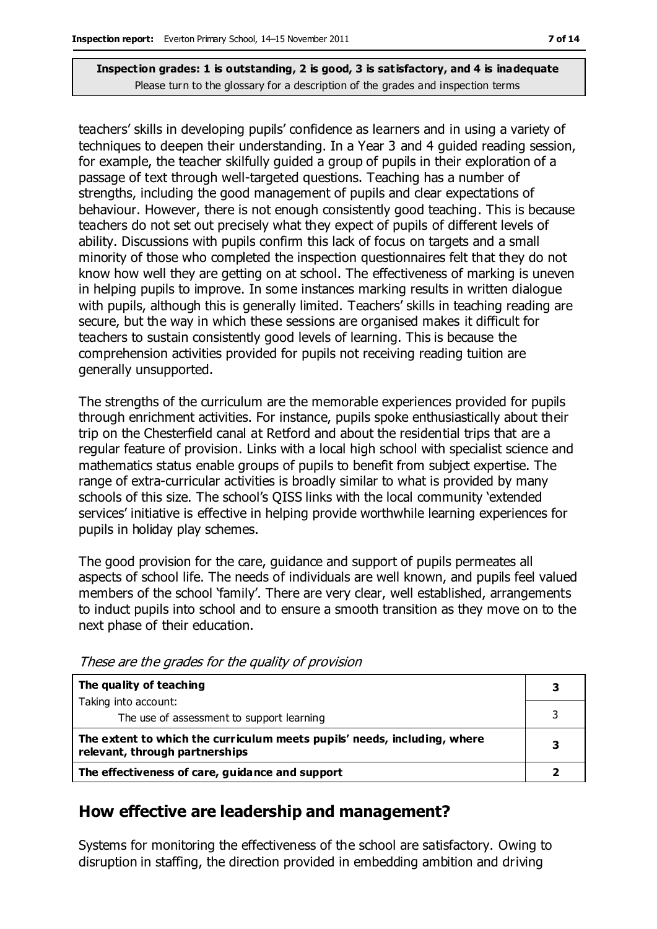teachers' skills in developing pupils' confidence as learners and in using a variety of techniques to deepen their understanding. In a Year 3 and 4 guided reading session, for example, the teacher skilfully guided a group of pupils in their exploration of a passage of text through well-targeted questions. Teaching has a number of strengths, including the good management of pupils and clear expectations of behaviour. However, there is not enough consistently good teaching. This is because teachers do not set out precisely what they expect of pupils of different levels of ability. Discussions with pupils confirm this lack of focus on targets and a small minority of those who completed the inspection questionnaires felt that they do not know how well they are getting on at school. The effectiveness of marking is uneven in helping pupils to improve. In some instances marking results in written dialogue with pupils, although this is generally limited. Teachers' skills in teaching reading are secure, but the way in which these sessions are organised makes it difficult for teachers to sustain consistently good levels of learning. This is because the comprehension activities provided for pupils not receiving reading tuition are generally unsupported.

The strengths of the curriculum are the memorable experiences provided for pupils through enrichment activities. For instance, pupils spoke enthusiastically about their trip on the Chesterfield canal at Retford and about the residential trips that are a regular feature of provision. Links with a local high school with specialist science and mathematics status enable groups of pupils to benefit from subject expertise. The range of extra-curricular activities is broadly similar to what is provided by many schools of this size. The school's QISS links with the local community 'extended services' initiative is effective in helping provide worthwhile learning experiences for pupils in holiday play schemes.

The good provision for the care, guidance and support of pupils permeates all aspects of school life. The needs of individuals are well known, and pupils feel valued members of the school 'family'. There are very clear, well established, arrangements to induct pupils into school and to ensure a smooth transition as they move on to the next phase of their education.

| The quality of teaching                                                                                    |  |
|------------------------------------------------------------------------------------------------------------|--|
| Taking into account:                                                                                       |  |
| The use of assessment to support learning                                                                  |  |
| The extent to which the curriculum meets pupils' needs, including, where<br>relevant, through partnerships |  |
| The effectiveness of care, guidance and support                                                            |  |

These are the grades for the quality of provision

## **How effective are leadership and management?**

Systems for monitoring the effectiveness of the school are satisfactory. Owing to disruption in staffing, the direction provided in embedding ambition and driving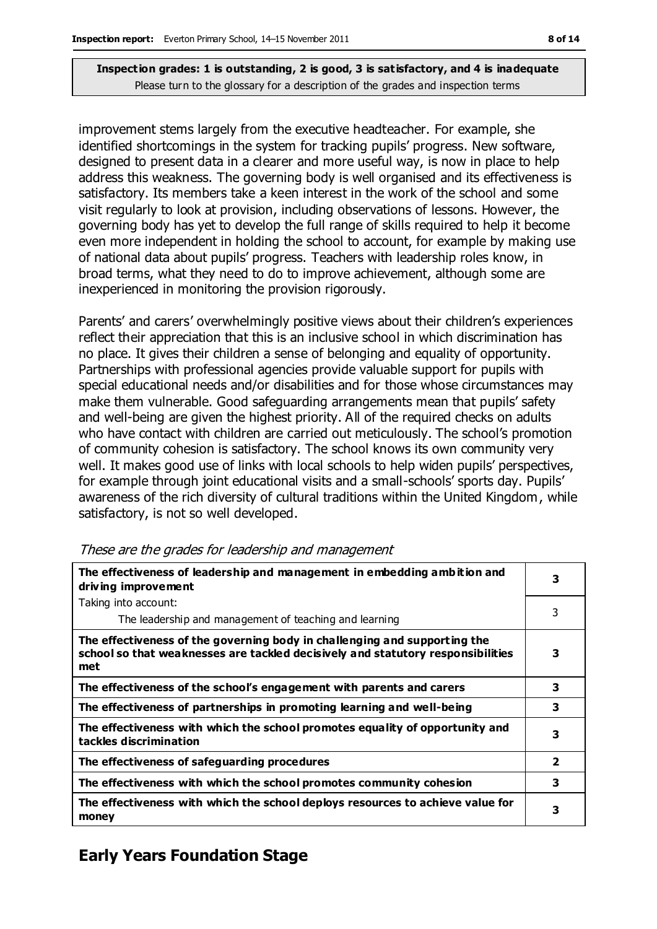improvement stems largely from the executive headteacher. For example, she identified shortcomings in the system for tracking pupils' progress. New software, designed to present data in a clearer and more useful way, is now in place to help address this weakness. The governing body is well organised and its effectiveness is satisfactory. Its members take a keen interest in the work of the school and some visit regularly to look at provision, including observations of lessons. However, the governing body has yet to develop the full range of skills required to help it become even more independent in holding the school to account, for example by making use of national data about pupils' progress. Teachers with leadership roles know, in broad terms, what they need to do to improve achievement, although some are inexperienced in monitoring the provision rigorously.

Parents' and carers' overwhelmingly positive views about their children's experiences reflect their appreciation that this is an inclusive school in which discrimination has no place. It gives their children a sense of belonging and equality of opportunity. Partnerships with professional agencies provide valuable support for pupils with special educational needs and/or disabilities and for those whose circumstances may make them vulnerable. Good safeguarding arrangements mean that pupils' safety and well-being are given the highest priority. All of the required checks on adults who have contact with children are carried out meticulously. The school's promotion of community cohesion is satisfactory. The school knows its own community very well. It makes good use of links with local schools to help widen pupils' perspectives, for example through joint educational visits and a small-schools' sports day. Pupils' awareness of the rich diversity of cultural traditions within the United Kingdom, while satisfactory, is not so well developed.

| The effectiveness of leadership and management in embedding ambition and<br>driving improvement                                                                     |                         |
|---------------------------------------------------------------------------------------------------------------------------------------------------------------------|-------------------------|
| Taking into account:                                                                                                                                                |                         |
| The leadership and management of teaching and learning                                                                                                              | 3                       |
| The effectiveness of the governing body in challenging and supporting the<br>school so that weaknesses are tackled decisively and statutory responsibilities<br>met | 3                       |
| The effectiveness of the school's engagement with parents and carers                                                                                                | 3                       |
| The effectiveness of partnerships in promoting learning and well-being                                                                                              | 3                       |
| The effectiveness with which the school promotes equality of opportunity and<br>tackles discrimination                                                              | 3                       |
| The effectiveness of safeguarding procedures                                                                                                                        | $\overline{\mathbf{2}}$ |
| The effectiveness with which the school promotes community cohesion                                                                                                 | 3                       |
| The effectiveness with which the school deploys resources to achieve value for<br>money                                                                             | 3                       |

#### These are the grades for leadership and management

## **Early Years Foundation Stage**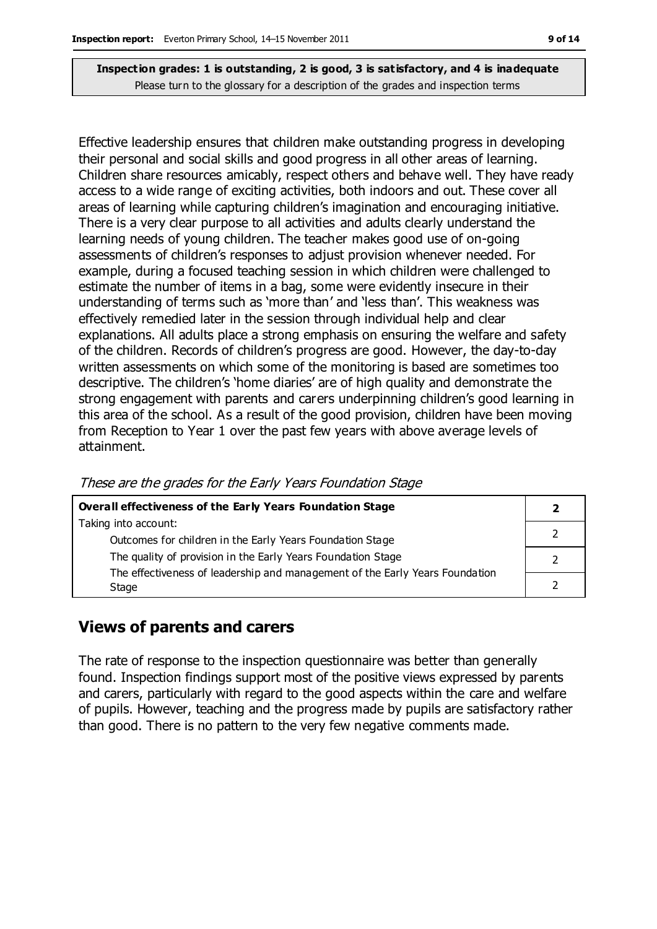Effective leadership ensures that children make outstanding progress in developing their personal and social skills and good progress in all other areas of learning. Children share resources amicably, respect others and behave well. They have ready access to a wide range of exciting activities, both indoors and out. These cover all areas of learning while capturing children's imagination and encouraging initiative. There is a very clear purpose to all activities and adults clearly understand the learning needs of young children. The teacher makes good use of on-going assessments of children's responses to adjust provision whenever needed. For example, during a focused teaching session in which children were challenged to estimate the number of items in a bag, some were evidently insecure in their understanding of terms such as 'more than' and 'less than'. This weakness was effectively remedied later in the session through individual help and clear explanations. All adults place a strong emphasis on ensuring the welfare and safety of the children. Records of children's progress are good. However, the day-to-day written assessments on which some of the monitoring is based are sometimes too descriptive. The children's 'home diaries' are of high quality and demonstrate the strong engagement with parents and carers underpinning children's good learning in this area of the school. As a result of the good provision, children have been moving from Reception to Year 1 over the past few years with above average levels of attainment.

| <b>Overall effectiveness of the Early Years Foundation Stage</b>             |  |  |
|------------------------------------------------------------------------------|--|--|
| Taking into account:                                                         |  |  |
| Outcomes for children in the Early Years Foundation Stage                    |  |  |
| The quality of provision in the Early Years Foundation Stage                 |  |  |
| The effectiveness of leadership and management of the Early Years Foundation |  |  |
| Stage                                                                        |  |  |

#### These are the grades for the Early Years Foundation Stage

#### **Views of parents and carers**

The rate of response to the inspection questionnaire was better than generally found. Inspection findings support most of the positive views expressed by parents and carers, particularly with regard to the good aspects within the care and welfare of pupils. However, teaching and the progress made by pupils are satisfactory rather than good. There is no pattern to the very few negative comments made.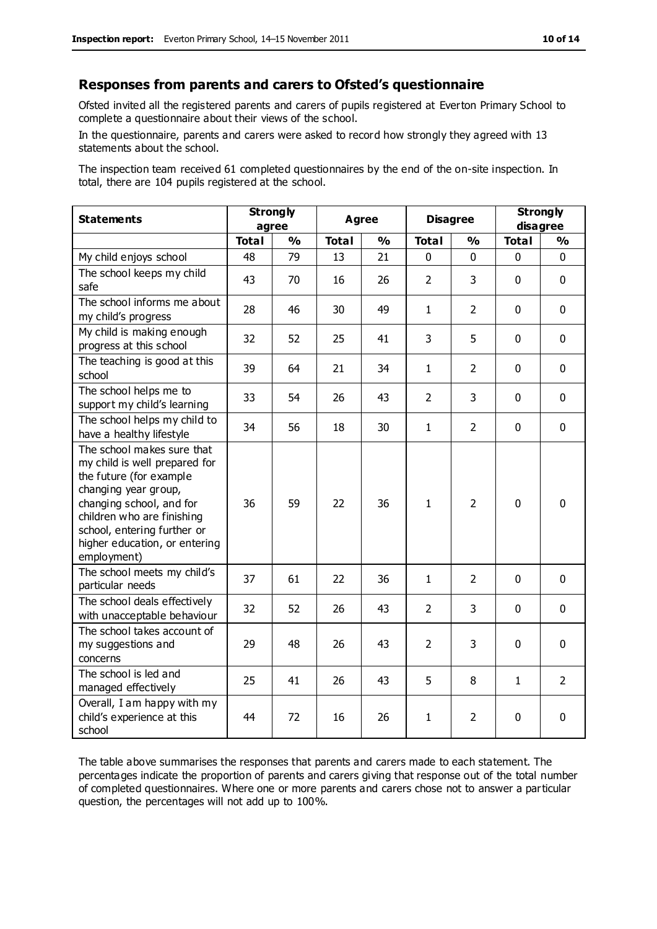#### **Responses from parents and carers to Ofsted's questionnaire**

Ofsted invited all the registered parents and carers of pupils registered at Everton Primary School to complete a questionnaire about their views of the school.

In the questionnaire, parents and carers were asked to record how strongly they agreed with 13 statements about the school.

The inspection team received 61 completed questionnaires by the end of the on-site inspection. In total, there are 104 pupils registered at the school.

| <b>Statements</b>                                                                                                                                                                                                                                       | <b>Strongly</b><br>agree |               | <b>Agree</b> |               | <b>Disagree</b> |                | <b>Strongly</b><br>disagree |                |
|---------------------------------------------------------------------------------------------------------------------------------------------------------------------------------------------------------------------------------------------------------|--------------------------|---------------|--------------|---------------|-----------------|----------------|-----------------------------|----------------|
|                                                                                                                                                                                                                                                         | <b>Total</b>             | $\frac{1}{2}$ | <b>Total</b> | $\frac{1}{2}$ | <b>Total</b>    | $\frac{1}{2}$  | <b>Total</b>                | $\frac{1}{2}$  |
| My child enjoys school                                                                                                                                                                                                                                  | 48                       | 79            | 13           | 21            | 0               | $\mathbf{0}$   | $\mathbf 0$                 | $\mathbf 0$    |
| The school keeps my child<br>safe                                                                                                                                                                                                                       | 43                       | 70            | 16           | 26            | $\overline{2}$  | 3              | $\mathbf 0$                 | $\mathbf 0$    |
| The school informs me about<br>my child's progress                                                                                                                                                                                                      | 28                       | 46            | 30           | 49            | $\mathbf{1}$    | $\overline{2}$ | $\mathbf 0$                 | $\mathbf 0$    |
| My child is making enough<br>progress at this school                                                                                                                                                                                                    | 32                       | 52            | 25           | 41            | 3               | 5              | $\mathbf 0$                 | $\mathbf 0$    |
| The teaching is good at this<br>school                                                                                                                                                                                                                  | 39                       | 64            | 21           | 34            | $\mathbf{1}$    | $\overline{2}$ | $\mathbf 0$                 | $\mathbf 0$    |
| The school helps me to<br>support my child's learning                                                                                                                                                                                                   | 33                       | 54            | 26           | 43            | $\overline{2}$  | 3              | $\Omega$                    | $\mathbf 0$    |
| The school helps my child to<br>have a healthy lifestyle                                                                                                                                                                                                | 34                       | 56            | 18           | 30            | $\mathbf{1}$    | $\overline{2}$ | $\mathbf 0$                 | $\mathbf 0$    |
| The school makes sure that<br>my child is well prepared for<br>the future (for example<br>changing year group,<br>changing school, and for<br>children who are finishing<br>school, entering further or<br>higher education, or entering<br>employment) | 36                       | 59            | 22           | 36            | $\mathbf{1}$    | $\overline{2}$ | $\mathbf{0}$                | 0              |
| The school meets my child's<br>particular needs                                                                                                                                                                                                         | 37                       | 61            | 22           | 36            | $\mathbf{1}$    | $\overline{2}$ | $\mathbf 0$                 | $\mathbf 0$    |
| The school deals effectively<br>with unacceptable behaviour                                                                                                                                                                                             | 32                       | 52            | 26           | 43            | 2               | 3              | $\mathbf 0$                 | 0              |
| The school takes account of<br>my suggestions and<br>concerns                                                                                                                                                                                           | 29                       | 48            | 26           | 43            | $\overline{2}$  | 3              | $\mathbf 0$                 | $\mathbf 0$    |
| The school is led and<br>managed effectively                                                                                                                                                                                                            | 25                       | 41            | 26           | 43            | 5               | 8              | $\mathbf{1}$                | $\overline{2}$ |
| Overall, I am happy with my<br>child's experience at this<br>school                                                                                                                                                                                     | 44                       | 72            | 16           | 26            | $\mathbf{1}$    | 2              | $\mathbf 0$                 | $\mathbf 0$    |

The table above summarises the responses that parents and carers made to each statement. The percentages indicate the proportion of parents and carers giving that response out of the total number of completed questionnaires. Where one or more parents and carers chose not to answer a particular question, the percentages will not add up to 100%.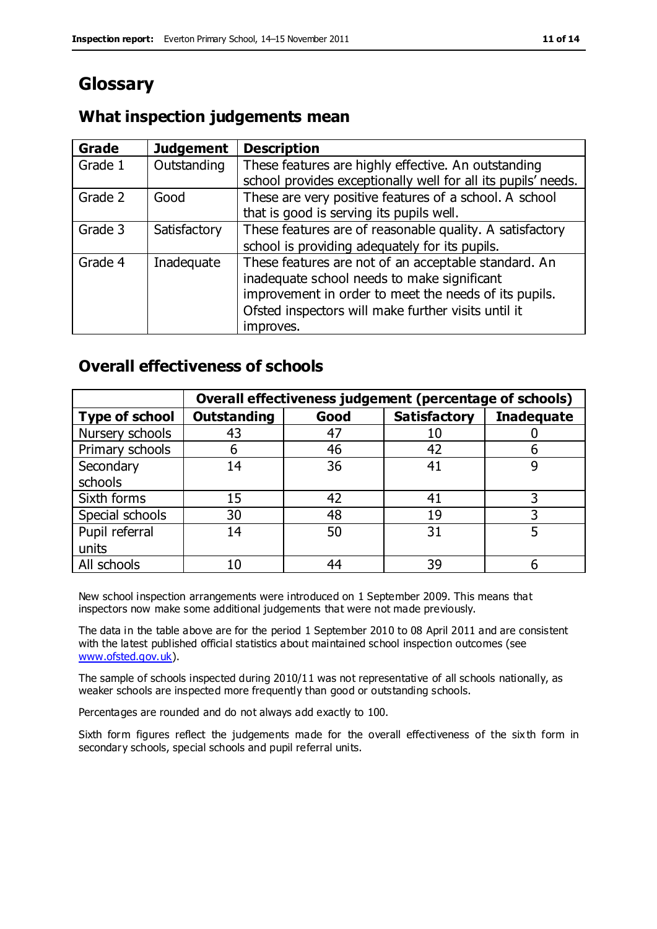# **Glossary**

## **What inspection judgements mean**

| Grade   | <b>Judgement</b> | <b>Description</b>                                            |
|---------|------------------|---------------------------------------------------------------|
| Grade 1 | Outstanding      | These features are highly effective. An outstanding           |
|         |                  | school provides exceptionally well for all its pupils' needs. |
| Grade 2 | Good             | These are very positive features of a school. A school        |
|         |                  | that is good is serving its pupils well.                      |
| Grade 3 | Satisfactory     | These features are of reasonable quality. A satisfactory      |
|         |                  | school is providing adequately for its pupils.                |
| Grade 4 | Inadequate       | These features are not of an acceptable standard. An          |
|         |                  | inadequate school needs to make significant                   |
|         |                  | improvement in order to meet the needs of its pupils.         |
|         |                  | Ofsted inspectors will make further visits until it           |
|         |                  | improves.                                                     |

## **Overall effectiveness of schools**

|                       |                    |      | Overall effectiveness judgement (percentage of schools) |                   |
|-----------------------|--------------------|------|---------------------------------------------------------|-------------------|
| <b>Type of school</b> | <b>Outstanding</b> | Good | <b>Satisfactory</b>                                     | <b>Inadequate</b> |
| Nursery schools       | 43                 | 47   | 10                                                      |                   |
| Primary schools       | 6                  | 46   | 42                                                      |                   |
| Secondary             | 14                 | 36   | 41                                                      |                   |
| schools               |                    |      |                                                         |                   |
| Sixth forms           | 15                 | 42   | 41                                                      | 3                 |
| Special schools       | 30                 | 48   | 19                                                      |                   |
| Pupil referral        | 14                 | 50   | 31                                                      |                   |
| units                 |                    |      |                                                         |                   |
| All schools           | 10                 | 44   | 39                                                      |                   |

New school inspection arrangements were introduced on 1 September 2009. This means that inspectors now make some additional judgements that were not made previously.

The data in the table above are for the period 1 September 2010 to 08 April 2011 and are consistent with the latest published official statistics about maintained school inspection outcomes (see [www.ofsted.gov.uk\)](http://www.ofsted.gov.uk/).

The sample of schools inspected during 2010/11 was not representative of all schools nationally, as weaker schools are inspected more frequently than good or outstanding schools.

Percentages are rounded and do not always add exactly to 100.

Sixth form figures reflect the judgements made for the overall effectiveness of the six th form in secondary schools, special schools and pupil referral units.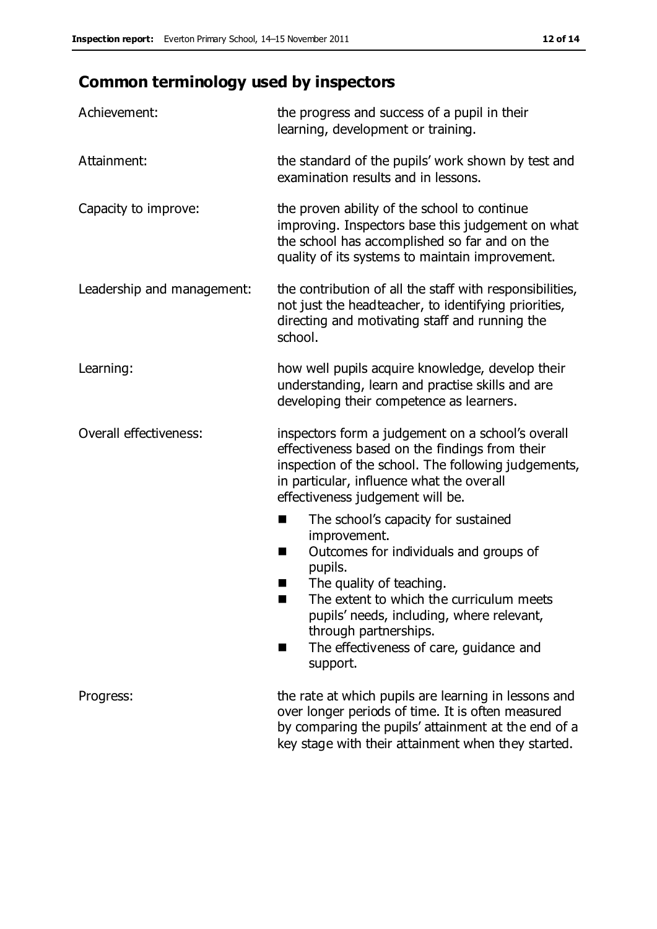# **Common terminology used by inspectors**

| Achievement:               | the progress and success of a pupil in their<br>learning, development or training.                                                                                                                                                                                                                                              |  |  |
|----------------------------|---------------------------------------------------------------------------------------------------------------------------------------------------------------------------------------------------------------------------------------------------------------------------------------------------------------------------------|--|--|
| Attainment:                | the standard of the pupils' work shown by test and<br>examination results and in lessons.                                                                                                                                                                                                                                       |  |  |
| Capacity to improve:       | the proven ability of the school to continue<br>improving. Inspectors base this judgement on what<br>the school has accomplished so far and on the<br>quality of its systems to maintain improvement.                                                                                                                           |  |  |
| Leadership and management: | the contribution of all the staff with responsibilities,<br>not just the headteacher, to identifying priorities,<br>directing and motivating staff and running the<br>school.                                                                                                                                                   |  |  |
| Learning:                  | how well pupils acquire knowledge, develop their<br>understanding, learn and practise skills and are<br>developing their competence as learners.                                                                                                                                                                                |  |  |
| Overall effectiveness:     | inspectors form a judgement on a school's overall<br>effectiveness based on the findings from their<br>inspection of the school. The following judgements,<br>in particular, influence what the overall<br>effectiveness judgement will be.                                                                                     |  |  |
|                            | The school's capacity for sustained<br>٠<br>improvement.<br>Outcomes for individuals and groups of<br>ш<br>pupils.<br>The quality of teaching.<br>The extent to which the curriculum meets<br>a ka<br>pupils' needs, including, where relevant,<br>through partnerships.<br>The effectiveness of care, guidance and<br>support. |  |  |
| Progress:                  | the rate at which pupils are learning in lessons and<br>over longer periods of time. It is often measured<br>by comparing the pupils' attainment at the end of a<br>key stage with their attainment when they started.                                                                                                          |  |  |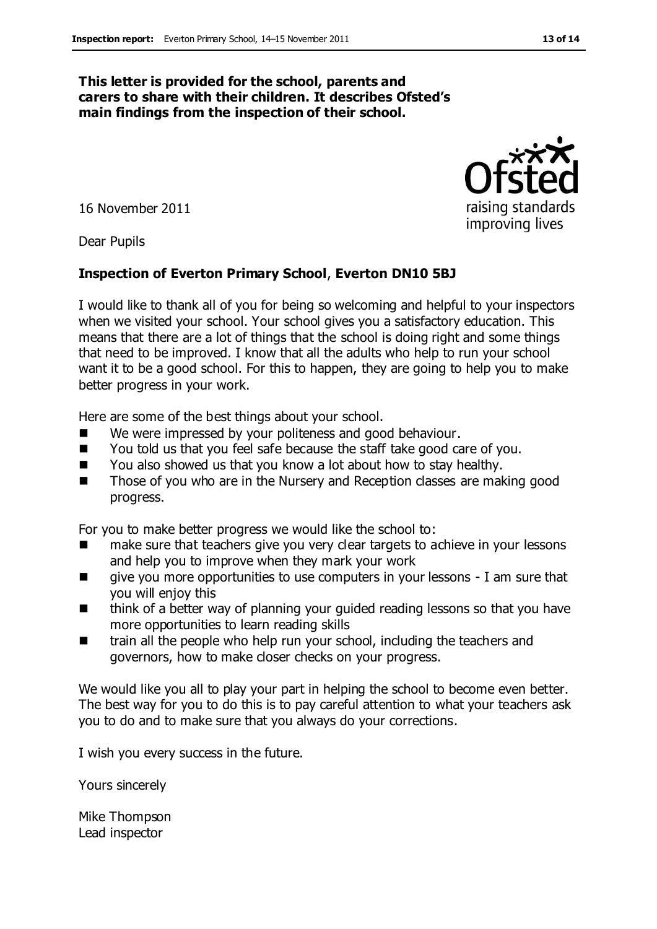#### **This letter is provided for the school, parents and carers to share with their children. It describes Ofsted's main findings from the inspection of their school.**

16 November 2011

Dear Pupils

#### **Inspection of Everton Primary School**, **Everton DN10 5BJ**

I would like to thank all of you for being so welcoming and helpful to your inspectors when we visited your school. Your school gives you a satisfactory education. This means that there are a lot of things that the school is doing right and some things that need to be improved. I know that all the adults who help to run your school want it to be a good school. For this to happen, they are going to help you to make better progress in your work.

Here are some of the best things about your school.

- We were impressed by your politeness and good behaviour.
- You told us that you feel safe because the staff take good care of you.
- You also showed us that you know a lot about how to stay healthy.
- Those of you who are in the Nursery and Reception classes are making good progress.

For you to make better progress we would like the school to:

- make sure that teachers give you very clear targets to achieve in your lessons and help you to improve when they mark your work
- $\blacksquare$  give you more opportunities to use computers in your lessons I am sure that you will enjoy this
- think of a better way of planning your guided reading lessons so that you have more opportunities to learn reading skills
- train all the people who help run your school, including the teachers and governors, how to make closer checks on your progress.

We would like you all to play your part in helping the school to become even better. The best way for you to do this is to pay careful attention to what your teachers ask you to do and to make sure that you always do your corrections.

I wish you every success in the future.

Yours sincerely

Mike Thompson Lead inspector